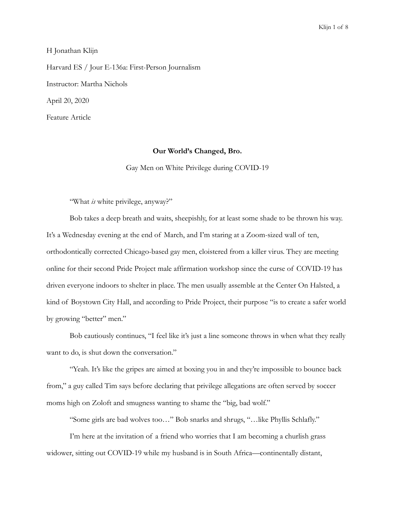H Jonathan Klijn Harvard ES / Jour E-136a: First-Person Journalism Instructor: Martha Nichols April 20, 2020 Feature Article

## **Our World's Changed, Bro.**

Gay Men on White Privilege during COVID-19

"What *is* white privilege, anyway?"

Bob takes a deep breath and waits, sheepishly, for at least some shade to be thrown his way. It's a Wednesday evening at the end of March, and I'm staring at a Zoom-sized wall of ten, orthodontically corrected Chicago-based gay men, cloistered from a killer virus. They are meeting online for their second Pride Project male affirmation workshop since the curse of COVID-19 has driven everyone indoors to shelter in place. The men usually assemble at the Center On Halsted, a kind of Boystown City Hall, and according to Pride Project, their purpose "is to create a safer world by growing "better" men."

Bob cautiously continues, "I feel like it's just a line someone throws in when what they really want to do, is shut down the conversation."

"Yeah. It's like the gripes are aimed at boxing you in and they're impossible to bounce back from," a guy called Tim says before declaring that privilege allegations are often served by soccer moms high on Zoloft and smugness wanting to shame the "big, bad wolf."

"Some girls are bad wolves too…" Bob snarks and shrugs, "…like Phyllis Schlafly."

I'm here at the invitation of a friend who worries that I am becoming a churlish grass widower, sitting out COVID-19 while my husband is in South Africa—continentally distant,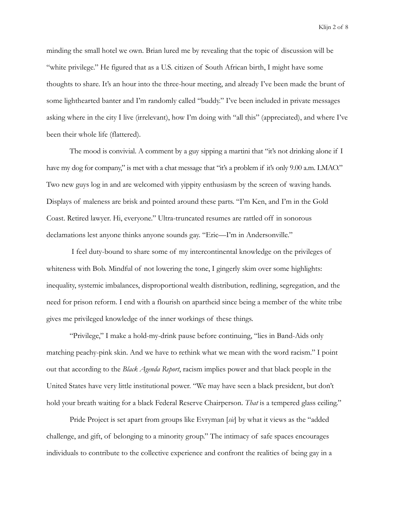Klijn 2 of 8

minding the small hotel we own. Brian lured me by revealing that the topic of discussion will be "white privilege." He figured that as a U.S. citizen of South African birth, I might have some thoughts to share. It's an hour into the three-hour meeting, and already I've been made the brunt of some lighthearted banter and I'm randomly called "buddy." I've been included in private messages asking where in the city I live (irrelevant), how I'm doing with "all this" (appreciated), and where I've been their whole life (flattered).

The mood is convivial. A comment by a guy sipping a martini that "it's not drinking alone if I have my dog for company," is met with a chat message that "it's a problem if it's only 9.00 a.m. LMAO." Two new guys log in and are welcomed with yippity enthusiasm by the screen of waving hands. Displays of maleness are brisk and pointed around these parts. "I'm Ken, and I'm in the Gold Coast. Retired lawyer. Hi, everyone." Ultra-truncated resumes are rattled off in sonorous declamations lest anyone thinks anyone sounds gay. "Eric—I'm in Andersonville."

 I feel duty-bound to share some of my intercontinental knowledge on the privileges of whiteness with Bob. Mindful of not lowering the tone, I gingerly skim over some highlights: inequality, systemic imbalances, disproportional wealth distribution, redlining, segregation, and the need for prison reform. I end with a flourish on apartheid since being a member of the white tribe gives me privileged knowledge of the inner workings of these things.

"Privilege," I make a hold-my-drink pause before continuing, "lies in Band-Aids only matching peachy-pink skin. And we have to rethink what we mean with the word racism." I point out that according to the *Black Agenda Report*, racism implies power and that black people in the United States have very little institutional power. "We may have seen a black president, but don't hold your breath waiting for a black Federal Reserve Chairperson. *That* is a tempered glass ceiling."

Pride Project is set apart from groups like Evryman [*sic*] by what it views as the "added challenge, and gift, of belonging to a minority group." The intimacy of safe spaces encourages individuals to contribute to the collective experience and confront the realities of being gay in a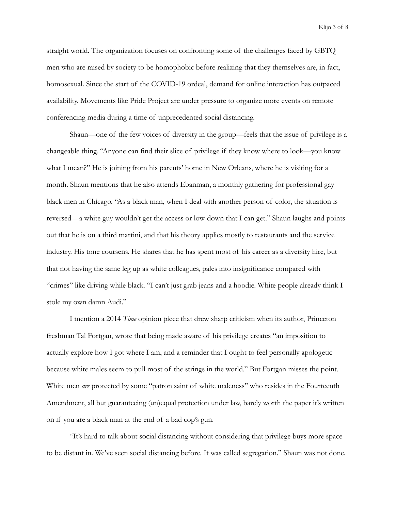Klijn 3 of 8

straight world. The organization focuses on confronting some of the challenges faced by GBTQ men who are raised by society to be homophobic before realizing that they themselves are, in fact, homosexual. Since the start of the COVID-19 ordeal, demand for online interaction has outpaced availability. Movements like Pride Project are under pressure to organize more events on remote conferencing media during a time of unprecedented social distancing.

Shaun—one of the few voices of diversity in the group—feels that the issue of privilege is a changeable thing. "Anyone can find their slice of privilege if they know where to look—you know what I mean?" He is joining from his parents' home in New Orleans, where he is visiting for a month. Shaun mentions that he also attends Ebanman, a monthly gathering for professional gay black men in Chicago. "As a black man, when I deal with another person of color, the situation is reversed—a white guy wouldn't get the access or low-down that I can get." Shaun laughs and points out that he is on a third martini, and that his theory applies mostly to restaurants and the service industry. His tone coursens. He shares that he has spent most of his career as a diversity hire, but that not having the same leg up as white colleagues, pales into insignificance compared with "crimes" like driving while black. "I can't just grab jeans and a hoodie. White people already think I stole my own damn Audi."

I mention a 2014 *Time* opinion piece that drew sharp criticism when its author, Princeton freshman Tal Fortgan, wrote that being made aware of his privilege creates "an imposition to actually explore how I got where I am, and a reminder that I ought to feel personally apologetic because white males seem to pull most of the strings in the world." But Fortgan misses the point. White men *are* protected by some "patron saint of white maleness" who resides in the Fourteenth Amendment, all but guaranteeing (un)equal protection under law, barely worth the paper it's written on if you are a black man at the end of a bad cop's gun.

"It's hard to talk about social distancing without considering that privilege buys more space to be distant in. We've seen social distancing before. It was called segregation." Shaun was not done.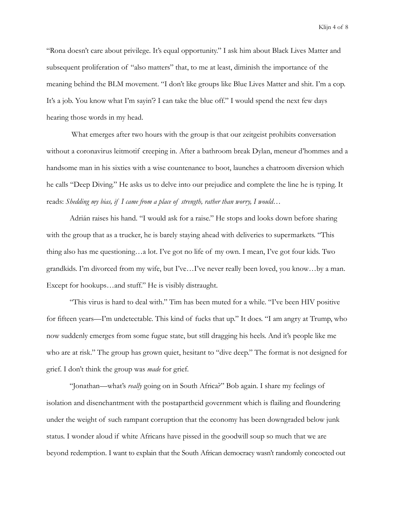Klijn 4 of 8

"Rona doesn't care about privilege. It's equal opportunity." I ask him about Black Lives Matter and subsequent proliferation of "also matters" that, to me at least, diminish the importance of the meaning behind the BLM movement. "I don't like groups like Blue Lives Matter and shit. I'm a cop. It's a job. You know what I'm sayin'? I can take the blue off." I would spend the next few days hearing those words in my head.

 What emerges after two hours with the group is that our zeitgeist prohibits conversation without a coronavirus leitmotif creeping in. After a bathroom break Dylan, meneur d'hommes and a handsome man in his sixties with a wise countenance to boot, launches a chatroom diversion which he calls "Deep Diving." He asks us to delve into our prejudice and complete the line he is typing. It reads: *Shedding my bias, if I came from a place of strength, rather than worry, I would…*

Adrián raises his hand. "I would ask for a raise." He stops and looks down before sharing with the group that as a trucker, he is barely staying ahead with deliveries to supermarkets. "This thing also has me questioning…a lot. I've got no life of my own. I mean, I've got four kids. Two grandkids. I'm divorced from my wife, but I've…I've never really been loved, you know…by a man. Except for hookups…and stuff." He is visibly distraught.

"This virus is hard to deal with." Tim has been muted for a while. "I've been HIV positive for fifteen years—I'm undetectable. This kind of fucks that up." It does. "I am angry at Trump, who now suddenly emerges from some fugue state, but still dragging his heels. And it's people like me who are at risk." The group has grown quiet, hesitant to "dive deep." The format is not designed for grief. I don't think the group was *made* for grief.

"Jonathan—what's *really* going on in South Africa?" Bob again. I share my feelings of isolation and disenchantment with the postapartheid government which is flailing and floundering under the weight of such rampant corruption that the economy has been downgraded below junk status. I wonder aloud if white Africans have pissed in the goodwill soup so much that we are beyond redemption. I want to explain that the South African democracy wasn't randomly concocted out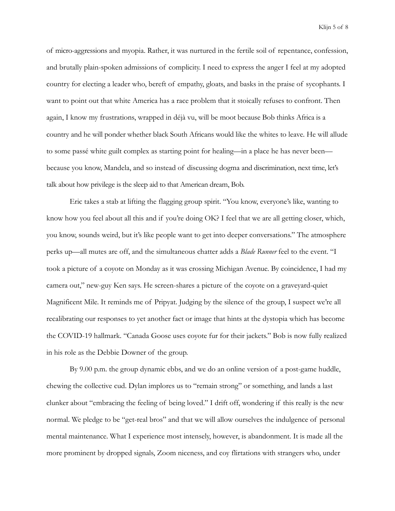Klijn 5 of 8

of micro-aggressions and myopia. Rather, it was nurtured in the fertile soil of repentance, confession, and brutally plain-spoken admissions of complicity. I need to express the anger I feel at my adopted country for electing a leader who, bereft of empathy, gloats, and basks in the praise of sycophants. I want to point out that white America has a race problem that it stoically refuses to confront. Then again, I know my frustrations, wrapped in déjà vu, will be moot because Bob thinks Africa is a country and he will ponder whether black South Africans would like the whites to leave. He will allude to some passé white guilt complex as starting point for healing—in a place he has never been because you know, Mandela, and so instead of discussing dogma and discrimination, next time, let's talk about how privilege is the sleep aid to that American dream, Bob.

Eric takes a stab at lifting the flagging group spirit. "You know, everyone's like, wanting to know how you feel about all this and if you're doing OK? I feel that we are all getting closer, which, you know, sounds weird, but it's like people want to get into deeper conversations." The atmosphere perks up—all mutes are off, and the simultaneous chatter adds a *Blade Runner* feel to the event. "I took a picture of a coyote on Monday as it was crossing Michigan Avenue. By coincidence, I had my camera out," new-guy Ken says. He screen-shares a picture of the coyote on a graveyard-quiet Magnificent Mile. It reminds me of Pripyat. Judging by the silence of the group, I suspect we're all recalibrating our responses to yet another fact or image that hints at the dystopia which has become the COVID-19 hallmark. "Canada Goose uses coyote fur for their jackets." Bob is now fully realized in his role as the Debbie Downer of the group.

By 9.00 p.m. the group dynamic ebbs, and we do an online version of a post-game huddle, chewing the collective cud. Dylan implores us to "remain strong" or something, and lands a last clunker about "embracing the feeling of being loved." I drift off, wondering if this really is the new normal. We pledge to be "get-real bros" and that we will allow ourselves the indulgence of personal mental maintenance. What I experience most intensely, however, is abandonment. It is made all the more prominent by dropped signals, Zoom niceness, and coy flirtations with strangers who, under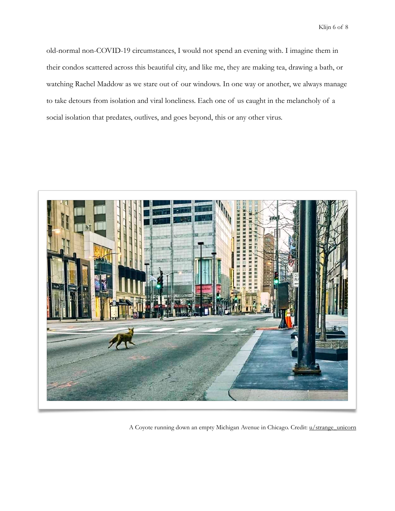Klijn 6 of 8

old-normal non-COVID-19 circumstances, I would not spend an evening with. I imagine them in their condos scattered across this beautiful city, and like me, they are making tea, drawing a bath, or watching Rachel Maddow as we stare out of our windows. In one way or another, we always manage to take detours from isolation and viral loneliness. Each one of us caught in the melancholy of a social isolation that predates, outlives, and goes beyond, this or any other virus.



A Coyote running down an empty Michigan Avenue in Chicago. Credit: [u/strange\\_unicorn](https://old.reddit.com/r/chicago/comments/fuz847/coyote_running_down_an_empty_michigan_ave/)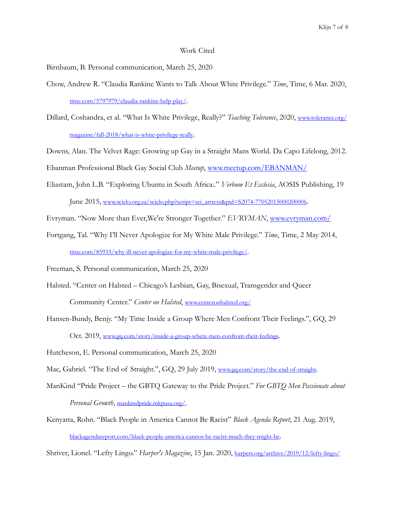## Work Cited

Birnbaum, B. Personal communication, March 25, 2020

- Chow, Andrew R. "Claudia Rankine Wants to Talk About White Privilege." *Time*, Time, 6 Mar. 2020, [time.com/5797979/claudia-rankine-help-play/.](http://time.com/5797979/claudia-rankine-help-play/)
- Dillard, Coshandra, et al. "What Is White Privilege, Really?" *Teaching Tolerance*, 2020, [www.tolerance.org/](http://www.tolerance.org/magazine/fall-2018/what-is-white-privilege-really) [magazine/fall-2018/what-is-white-privilege-really.](http://www.tolerance.org/magazine/fall-2018/what-is-white-privilege-really)

Downs, Alan. The Velvet Rage: Growing up Gay in a Straight Mans World. Da Capo Lifelong, 2012.

Ebanman Professional Black Gay Social Club *Meetup*, [www.meetup.com/EBANMAN/](https://www.meetup.com/EBANMAN/)

Eliastam, John L.B. "Exploring Ubuntu in South Africa:." *Verbum Et Ecclesia*, AOSIS Publishing, 19 June 2015, [www.scielo.org.za/scielo.php?script=sci\\_arttext&pid=S2074-77052015000200006.](http://www.scielo.org.za/scielo.php?script=sci_arttext&pid=S2074-77052015000200006)

Evryman. "Now More than Ever,We're Stronger Together." *EVRYMAN*, [www.evryman.com/](http://www.evryman.com/)

Fortgang, Tal. "Why I'll Never Apologize for My White Male Privilege." *Time*, Time, 2 May 2014, [time.com/85933/why-ill-never-apologize-for-my-white-male-privilege/](http://time.com/85933/why-ill-never-apologize-for-my-white-male-privilege/).

Freeman, S. Personal communication, March 25, 2020

- Halsted. "Center on Halsted Chicago's Lesbian, Gay, Bisexual, Transgender and Queer Community Center." *Center on Halsted*, [www.centeronhalsted.org/](http://www.centeronhalsted.org/)
- Hansen-Bundy, Benjy. "My Time Inside a Group Where Men Confront Their Feelings.", GQ, 29 Oct. 2019, [www.gq.com/story/inside-a-group-where-men-confront-their-feelings.](http://www.gq.com/story/inside-a-group-where-men-confront-their-feelings)

Hutcheson, E. Personal communication, March 25, 2020

Mac, Gabriel. "The End of Straight.", GQ, 29 July 2019, [www.gq.com/story/the-end-of-straight](http://www.gq.com/story/the-end-of-straight).

ManKind "Pride Project – the GBTQ Gateway to the Pride Project." *For GBTQ Men Passionate about* 

*Personal Growth*, [mankindpride.mkpusa.org/](http://mankindpride.mkpusa.org/).

Kenyatta, Rohn. "Black People in America Cannot Be Racist" *Black Agenda Report*, 21 Aug. 2019, [blackagendareport.com/black-people-america-cannot-be-racist-much-they-might-be.](http://blackagendareport.com/black-people-america-cannot-be-racist-much-they-might-be)

Shriver, Lionel. "Lefty Lingo." *Harper's Magazine*, 15 Jan. 2020, [harpers.org/archive/2019/12/lefty-lingo/](http://harpers.org/archive/2019/12/lefty-lingo/)